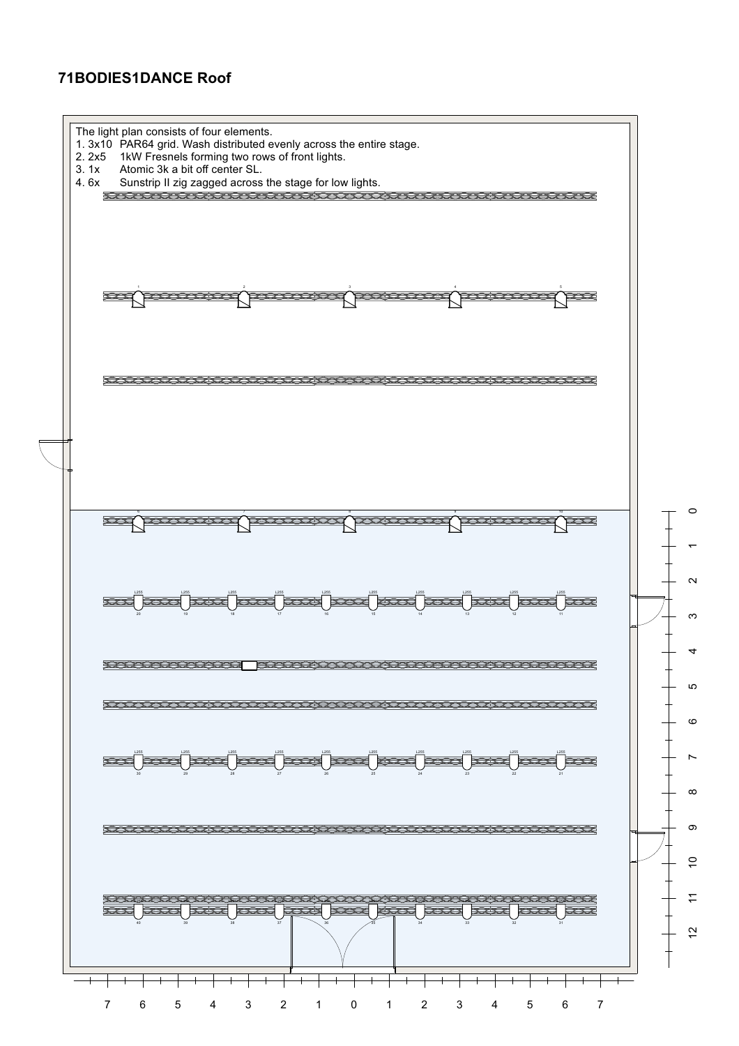## **71BODIES1DANCE Roof**